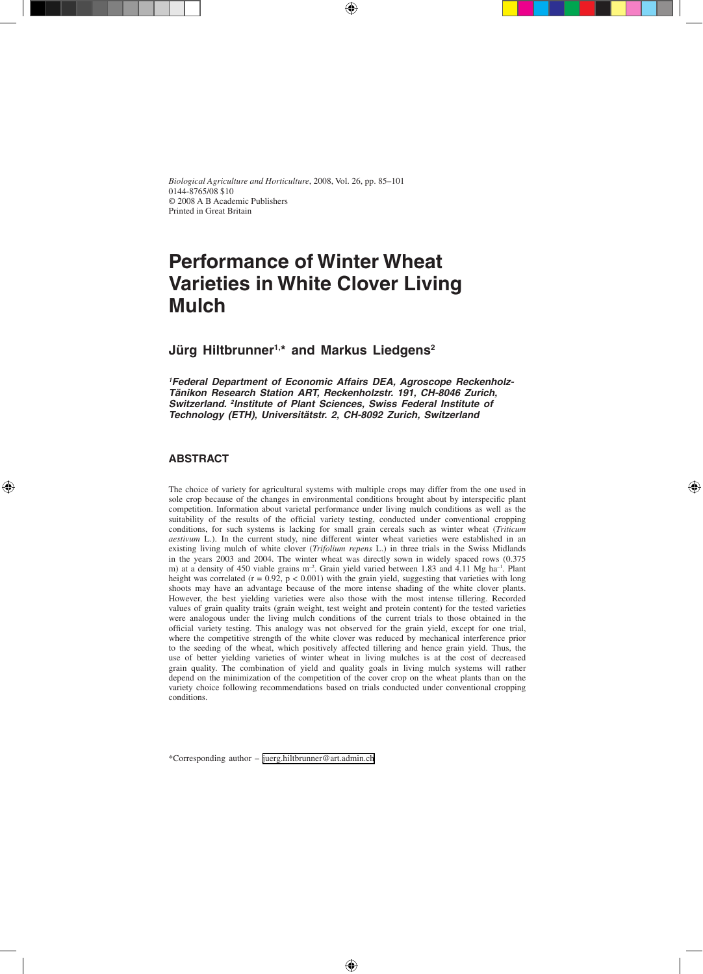*Biological Agriculture and Horticulture*, 2008, Vol. 26, pp. 85–101 0144-8765/08 \$10 © 2008 A B Academic Publishers Printed in Great Britain

# **Performance of Winter Wheat Varieties in White Clover Living Mulch**

# **Jürg Hiltbrunner1,\* and Markus Liedgens2**

*1 Federal Department of Economic Affairs DEA, Agroscope Reckenholz-Tänikon Research Station ART, Reckenholzstr. 191, CH-8046 Zurich, Switzerland. 2 Institute of Plant Sciences, Swiss Federal Institute of Technology (ETH), Universitätstr. 2, CH-8092 Zurich, Switzerland*

⊕

 $\bigoplus$ 

## **Abstract**

⊕

The choice of variety for agricultural systems with multiple crops may differ from the one used in sole crop because of the changes in environmental conditions brought about by interspecific plant competition. Information about varietal performance under living mulch conditions as well as the suitability of the results of the official variety testing, conducted under conventional cropping conditions, for such systems is lacking for small grain cereals such as winter wheat (*Triticum aestivum* L.). In the current study, nine different winter wheat varieties were established in an existing living mulch of white clover (*Trifolium repens* L.) in three trials in the Swiss Midlands in the years 2003 and 2004. The winter wheat was directly sown in widely spaced rows (0.375 m) at a density of 450 viable grains m<sup>-2</sup>. Grain yield varied between 1.83 and 4.11 Mg ha<sup>-1</sup>. Plant height was correlated  $(r = 0.92, p < 0.001)$  with the grain yield, suggesting that varieties with long shoots may have an advantage because of the more intense shading of the white clover plants. However, the best yielding varieties were also those with the most intense tillering. Recorded values of grain quality traits (grain weight, test weight and protein content) for the tested varieties were analogous under the living mulch conditions of the current trials to those obtained in the official variety testing. This analogy was not observed for the grain yield, except for one trial, where the competitive strength of the white clover was reduced by mechanical interference prior to the seeding of the wheat, which positively affected tillering and hence grain yield. Thus, the use of better yielding varieties of winter wheat in living mulches is at the cost of decreased grain quality. The combination of yield and quality goals in living mulch systems will rather depend on the minimization of the competition of the cover crop on the wheat plants than on the variety choice following recommendations based on trials conducted under conventional cropping conditions.

\*Corresponding author – [juerg.hiltbrunner@art.admin.ch](mailto:juerg.hiltbrunner@art.admin.ch)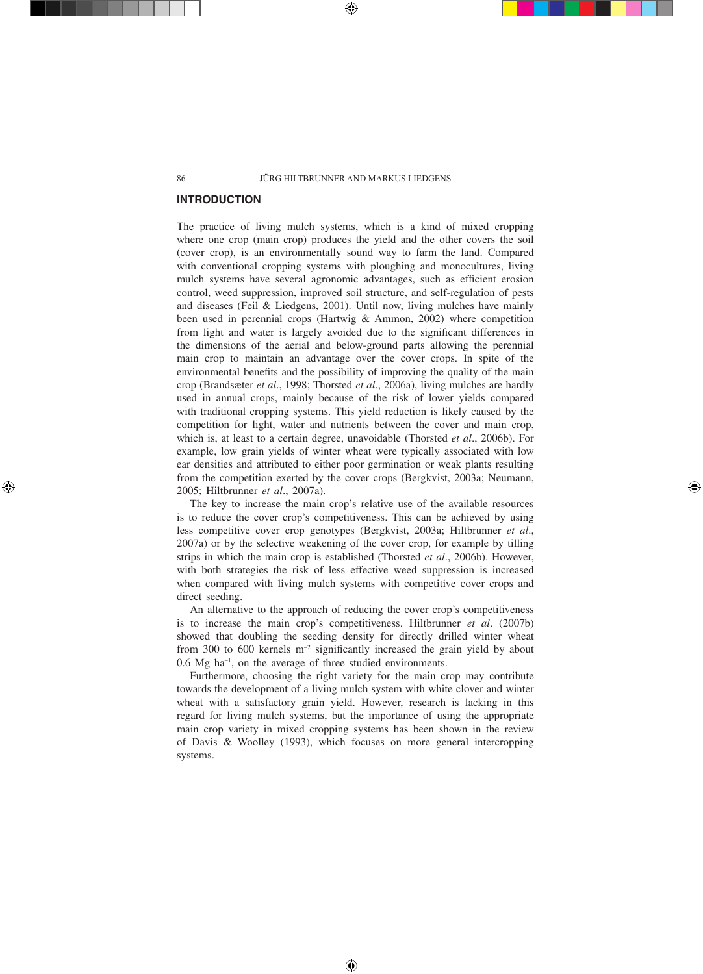⊕

## **Introduction**

The practice of living mulch systems, which is a kind of mixed cropping where one crop (main crop) produces the yield and the other covers the soil (cover crop), is an environmentally sound way to farm the land. Compared with conventional cropping systems with ploughing and monocultures, living mulch systems have several agronomic advantages, such as efficient erosion control, weed suppression, improved soil structure, and self-regulation of pests and diseases (Feil & Liedgens, 2001). Until now, living mulches have mainly been used in perennial crops (Hartwig & Ammon, 2002) where competition from light and water is largely avoided due to the significant differences in the dimensions of the aerial and below-ground parts allowing the perennial main crop to maintain an advantage over the cover crops. In spite of the environmental benefits and the possibility of improving the quality of the main crop (Brandsæter *et al*., 1998; Thorsted *et al*., 2006a), living mulches are hardly used in annual crops, mainly because of the risk of lower yields compared with traditional cropping systems. This yield reduction is likely caused by the competition for light, water and nutrients between the cover and main crop, which is, at least to a certain degree, unavoidable (Thorsted *et al*., 2006b). For example, low grain yields of winter wheat were typically associated with low ear densities and attributed to either poor germination or weak plants resulting from the competition exerted by the cover crops (Bergkvist, 2003a; Neumann, 2005; Hiltbrunner *et al*., 2007a).

The key to increase the main crop's relative use of the available resources is to reduce the cover crop's competitiveness. This can be achieved by using less competitive cover crop genotypes (Bergkvist, 2003a; Hiltbrunner *et al*., 2007a) or by the selective weakening of the cover crop, for example by tilling strips in which the main crop is established (Thorsted *et al*., 2006b). However, with both strategies the risk of less effective weed suppression is increased when compared with living mulch systems with competitive cover crops and direct seeding.

An alternative to the approach of reducing the cover crop's competitiveness is to increase the main crop's competitiveness. Hiltbrunner *et al*. (2007b) showed that doubling the seeding density for directly drilled winter wheat from 300 to 600 kernels  $m<sup>-2</sup>$  significantly increased the grain yield by about 0.6 Mg ha–1, on the average of three studied environments.

Furthermore, choosing the right variety for the main crop may contribute towards the development of a living mulch system with white clover and winter wheat with a satisfactory grain yield. However, research is lacking in this regard for living mulch systems, but the importance of using the appropriate main crop variety in mixed cropping systems has been shown in the review of Davis & Woolley (1993), which focuses on more general intercropping systems.

⊕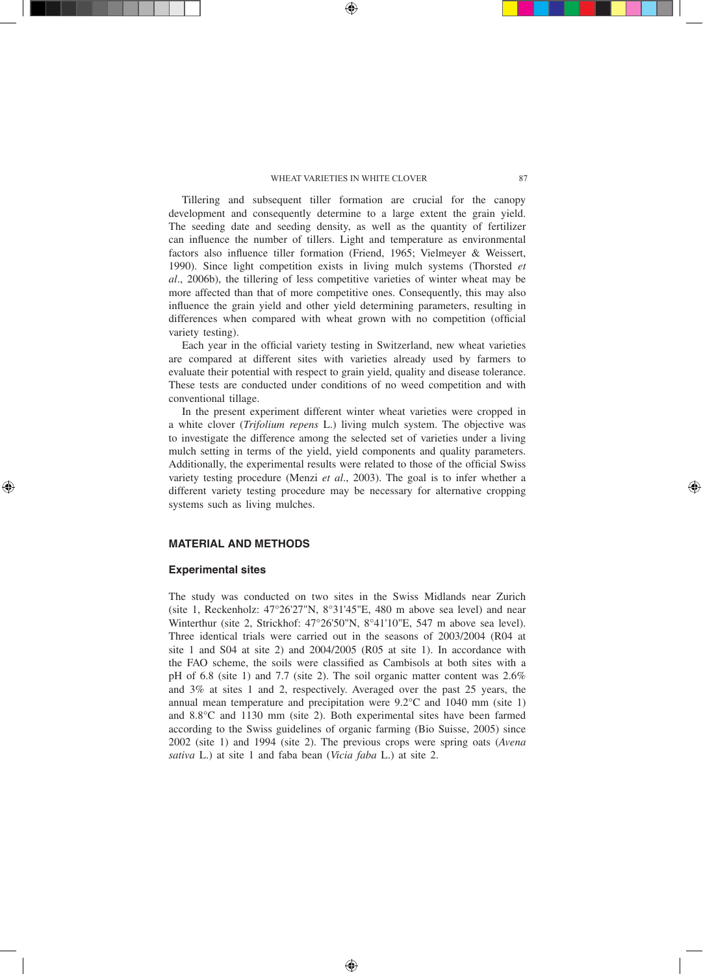⊕

Tillering and subsequent tiller formation are crucial for the canopy development and consequently determine to a large extent the grain yield. The seeding date and seeding density, as well as the quantity of fertilizer can influence the number of tillers. Light and temperature as environmental factors also influence tiller formation (Friend, 1965; Vielmeyer & Weissert, 1990). Since light competition exists in living mulch systems (Thorsted *et al*., 2006b), the tillering of less competitive varieties of winter wheat may be more affected than that of more competitive ones. Consequently, this may also influence the grain yield and other yield determining parameters, resulting in differences when compared with wheat grown with no competition (official variety testing).

Each year in the official variety testing in Switzerland, new wheat varieties are compared at different sites with varieties already used by farmers to evaluate their potential with respect to grain yield, quality and disease tolerance. These tests are conducted under conditions of no weed competition and with conventional tillage.

In the present experiment different winter wheat varieties were cropped in a white clover (*Trifolium repens* L.) living mulch system. The objective was to investigate the difference among the selected set of varieties under a living mulch setting in terms of the yield, yield components and quality parameters. Additionally, the experimental results were related to those of the official Swiss variety testing procedure (Menzi *et al*., 2003). The goal is to infer whether a different variety testing procedure may be necessary for alternative cropping systems such as living mulches.

## **Material and Methods**

#### **Experimental sites**

⊕

The study was conducted on two sites in the Swiss Midlands near Zurich (site 1, Reckenholz: 47°26'27"N, 8°31'45"E, 480 m above sea level) and near Winterthur (site 2, Strickhof: 47°26'50"N, 8°41'10"E, 547 m above sea level). Three identical trials were carried out in the seasons of 2003/2004 (R04 at site 1 and S04 at site 2) and 2004/2005 (R05 at site 1). In accordance with the FAO scheme, the soils were classified as Cambisols at both sites with a pH of 6.8 (site 1) and 7.7 (site 2). The soil organic matter content was 2.6% and 3% at sites 1 and 2, respectively. Averaged over the past 25 years, the annual mean temperature and precipitation were 9.2°C and 1040 mm (site 1) and 8.8°C and 1130 mm (site 2). Both experimental sites have been farmed according to the Swiss guidelines of organic farming (Bio Suisse, 2005) since 2002 (site 1) and 1994 (site 2). The previous crops were spring oats (*Avena sativa* L.) at site 1 and faba bean (*Vicia faba* L.) at site 2.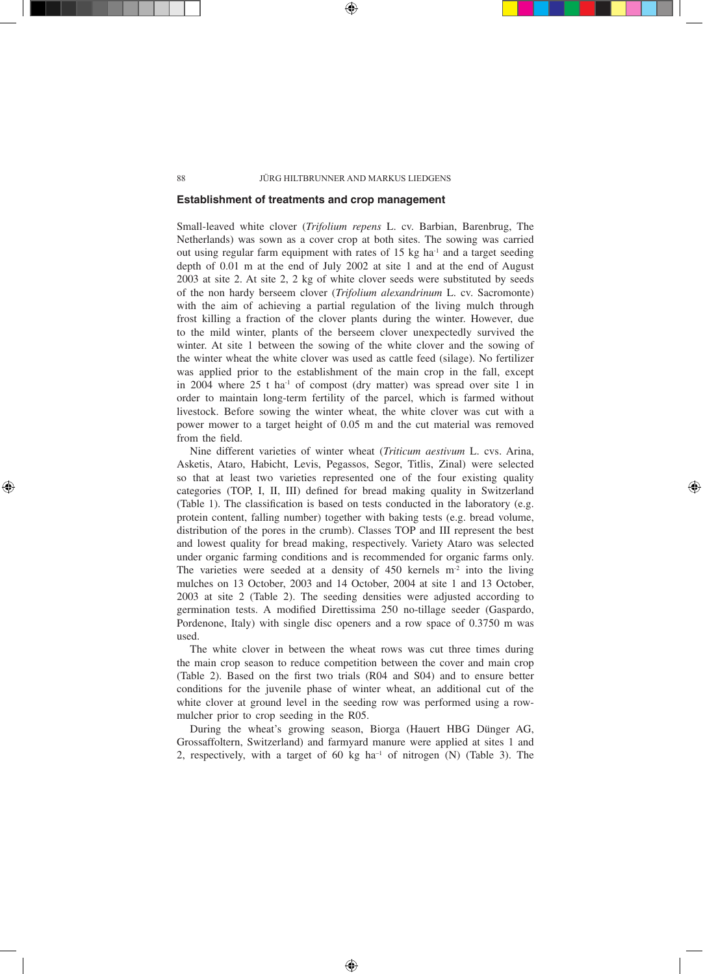⊕

#### **Establishment of treatments and crop management**

Small-leaved white clover (*Trifolium repens* L. cv. Barbian, Barenbrug, The Netherlands) was sown as a cover crop at both sites. The sowing was carried out using regular farm equipment with rates of  $15 \text{ kg}$  ha<sup>-1</sup> and a target seeding depth of 0.01 m at the end of July 2002 at site 1 and at the end of August 2003 at site 2. At site 2, 2 kg of white clover seeds were substituted by seeds of the non hardy berseem clover (*Trifolium alexandrinum* L. cv. Sacromonte) with the aim of achieving a partial regulation of the living mulch through frost killing a fraction of the clover plants during the winter. However, due to the mild winter, plants of the berseem clover unexpectedly survived the winter. At site 1 between the sowing of the white clover and the sowing of the winter wheat the white clover was used as cattle feed (silage). No fertilizer was applied prior to the establishment of the main crop in the fall, except in 2004 where  $25$  t ha<sup>-1</sup> of compost (dry matter) was spread over site 1 in order to maintain long-term fertility of the parcel, which is farmed without livestock. Before sowing the winter wheat, the white clover was cut with a power mower to a target height of 0.05 m and the cut material was removed from the field.

Nine different varieties of winter wheat (*Triticum aestivum* L. cvs. Arina, Asketis, Ataro, Habicht, Levis, Pegassos, Segor, Titlis, Zinal) were selected so that at least two varieties represented one of the four existing quality categories (TOP, I, II, III) defined for bread making quality in Switzerland (Table 1). The classification is based on tests conducted in the laboratory (e.g. protein content, falling number) together with baking tests (e.g. bread volume, distribution of the pores in the crumb). Classes TOP and III represent the best and lowest quality for bread making, respectively. Variety Ataro was selected under organic farming conditions and is recommended for organic farms only. The varieties were seeded at a density of  $450$  kernels m<sup>2</sup> into the living mulches on 13 October, 2003 and 14 October, 2004 at site 1 and 13 October, 2003 at site 2 (Table 2). The seeding densities were adjusted according to germination tests. A modified Direttissima 250 no-tillage seeder (Gaspardo, Pordenone, Italy) with single disc openers and a row space of 0.3750 m was used.

The white clover in between the wheat rows was cut three times during the main crop season to reduce competition between the cover and main crop (Table 2). Based on the first two trials (R04 and S04) and to ensure better conditions for the juvenile phase of winter wheat, an additional cut of the white clover at ground level in the seeding row was performed using a rowmulcher prior to crop seeding in the R05.

During the wheat's growing season, Biorga (Hauert HBG Dünger AG, Grossaffoltern, Switzerland) and farmyard manure were applied at sites 1 and 2, respectively, with a target of 60 kg  $ha^{-1}$  of nitrogen (N) (Table 3). The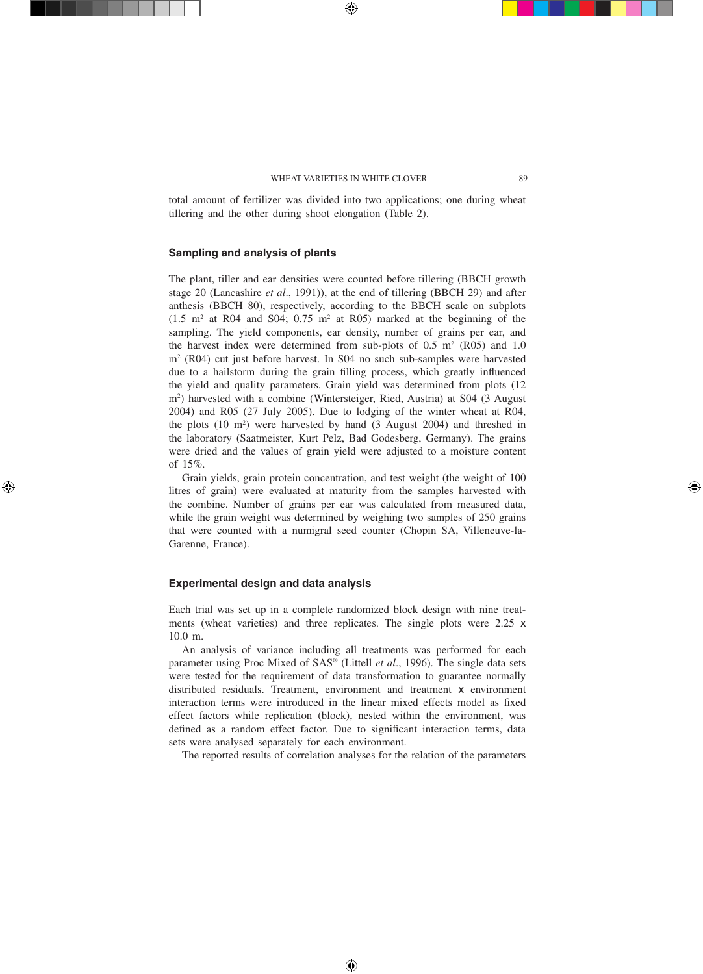⊕

total amount of fertilizer was divided into two applications; one during wheat tillering and the other during shoot elongation (Table 2).

## **Sampling and analysis of plants**

The plant, tiller and ear densities were counted before tillering (BBCH growth stage 20 (Lancashire *et al*., 1991)), at the end of tillering (BBCH 29) and after anthesis (BBCH 80), respectively, according to the BBCH scale on subplots  $(1.5 \text{ m}^2 \text{ at } R04 \text{ and } S04; 0.75 \text{ m}^2 \text{ at } R05)$  marked at the beginning of the sampling. The yield components, ear density, number of grains per ear, and the harvest index were determined from sub-plots of  $0.5 \text{ m}^2$  (R05) and 1.0 m2 (R04) cut just before harvest. In S04 no such sub-samples were harvested due to a hailstorm during the grain filling process, which greatly influenced the yield and quality parameters. Grain yield was determined from plots (12 m2 ) harvested with a combine (Wintersteiger, Ried, Austria) at S04 (3 August 2004) and R05 (27 July 2005). Due to lodging of the winter wheat at R04, the plots  $(10 \text{ m}^2)$  were harvested by hand  $(3 \text{ August } 2004)$  and threshed in the laboratory (Saatmeister, Kurt Pelz, Bad Godesberg, Germany). The grains were dried and the values of grain yield were adjusted to a moisture content of 15%.

Grain yields, grain protein concentration, and test weight (the weight of 100 litres of grain) were evaluated at maturity from the samples harvested with the combine. Number of grains per ear was calculated from measured data, while the grain weight was determined by weighing two samples of 250 grains that were counted with a numigral seed counter (Chopin SA, Villeneuve-la-Garenne, France).

### **Experimental design and data analysis**

⊕

Each trial was set up in a complete randomized block design with nine treatments (wheat varieties) and three replicates. The single plots were 2.25 x 10.0 m.

An analysis of variance including all treatments was performed for each parameter using Proc Mixed of SAS® (Littell *et al*., 1996). The single data sets were tested for the requirement of data transformation to guarantee normally distributed residuals. Treatment, environment and treatment x environment interaction terms were introduced in the linear mixed effects model as fixed effect factors while replication (block), nested within the environment, was defined as a random effect factor. Due to significant interaction terms, data sets were analysed separately for each environment.

The reported results of correlation analyses for the relation of the parameters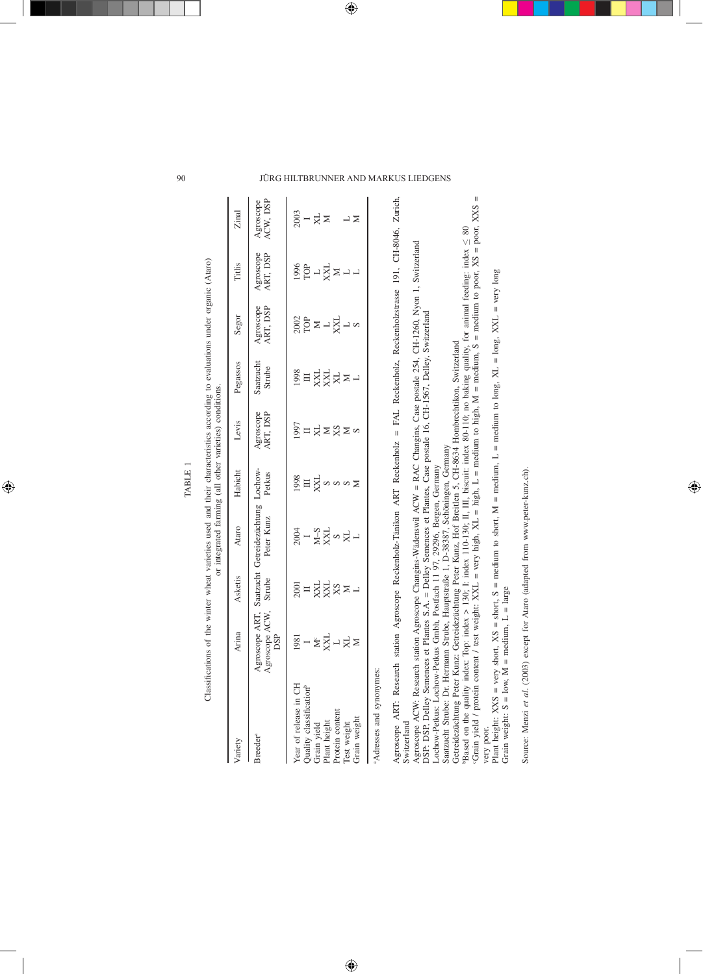| r      |
|--------|
|        |
| ב      |
| י<br>ב |

 $\bigoplus$ 

|--|

|                                                                                                                                                                                                                                                                                                                                       |                              |                | on muegianed rammig (am outer varietes) continuis.              |         |                       |                     |                       |                       |                          |
|---------------------------------------------------------------------------------------------------------------------------------------------------------------------------------------------------------------------------------------------------------------------------------------------------------------------------------------|------------------------------|----------------|-----------------------------------------------------------------|---------|-----------------------|---------------------|-----------------------|-----------------------|--------------------------|
| Variety                                                                                                                                                                                                                                                                                                                               | Arina                        | Asketis        | Ataro                                                           | Habicht | Levis                 | Pegassos            | Segor                 | Titlis                | Zinal                    |
| Breederª                                                                                                                                                                                                                                                                                                                              | Agroscope ACW,<br><b>DSP</b> | Strube         | Agroscope ART, Saatzucht Getreidezüchtung Lochow-<br>Peter Kunz | Petkus  | Agroscope<br>ART, DSP | Saatzucht<br>Strube | Agroscope<br>ART, DSP | ART, DSP<br>Agroscope | ACW, DSP<br>Agroscope    |
| Year of release in CH                                                                                                                                                                                                                                                                                                                 | 1981                         | 2001           | 2004                                                            | 1998    | 1997                  | 1998                |                       | 966                   | 2003                     |
| Quality classification <sup>b</sup>                                                                                                                                                                                                                                                                                                   |                              | $\equiv$       |                                                                 | 目       | $\equiv$              | Ξ                   | TOP                   | POP                   | $\overline{a}$           |
| Grain yield                                                                                                                                                                                                                                                                                                                           | Å                            | XXL            | $N-S$                                                           | XXL     | $\aleph$              | XXL                 | $\geq$                | $\overline{a}$        | R                        |
| Plant height                                                                                                                                                                                                                                                                                                                          | XXL                          | XXL            | XXL                                                             | S       | Σ                     | XXL                 | $\overline{a}$        | XXL                   | Σ                        |
| Protein content<br>Test weight                                                                                                                                                                                                                                                                                                        | $\overline{\phantom{0}}$     | X <sub>S</sub> | $\infty$                                                        | S       | XS                    | $\aleph$            | XXL                   | Σ                     |                          |
|                                                                                                                                                                                                                                                                                                                                       | $_{\rm X}$                   | Σ              | $\boxtimes$                                                     | S       | Σ                     | Σ                   |                       | → →                   | $\overline{\phantom{0}}$ |
| Grain weight                                                                                                                                                                                                                                                                                                                          | Σ                            |                |                                                                 | $\geq$  | S                     |                     | S                     | ┙                     | Σ                        |
| <sup>a</sup> Adresses and synonymes:                                                                                                                                                                                                                                                                                                  |                              |                |                                                                 |         |                       |                     |                       |                       |                          |
| Agroscope ART: Research station Agroscope Reckenholz-Tänikon ART Reckenholz = FAL Reckenholz, Reckenholzstrasse 191, CH-8046, Zurich,<br>Switzerland                                                                                                                                                                                  |                              |                |                                                                 |         |                       |                     |                       |                       |                          |
| Agroscope ACW: Research station Agroscope Changins-Wädenswil ACW = RAC Changins, Case postale 254, CH-1260, Nyon 1, Switzerland<br>DSP: DSP, Delley Semences et Plantes S.A. = Delley Semences et Plantes, Case postale 16, CH-1567, Delley, Switzerland<br>Lochow-Petkus: Lochow-Petkus Gmbh, Postfach 11 97, 29296, Bergen, Germany |                              |                |                                                                 |         |                       |                     |                       |                       |                          |
| Saatzucht Strube: Dr. Hermann Strube, Hauptstraße 1, D-38387, Schöningen, Germany                                                                                                                                                                                                                                                     |                              |                |                                                                 |         |                       |                     |                       |                       |                          |

 $\bigoplus$ 

Getreidezüchtung Peter Kunz: Getreidezüchtung Peter Kunz, Hof Breitlen 5, CH-8634 Hombrechtikon, Switzerland

Based on the quality index: Top: index > 130; I: index 110-130; II, III, biscuit: index 80-110; no baking quality, for animal feeding: index  $\leq 80$ 

Grain yield / protein content / test weight:  $XXL = \text{very high, } XI = \text{medium to high, } M = \text{medium, } S = \text{medium to poor, } XS = \text{poor, } XSS = \text{poor, } XSS = \text{poor, } YSS = \text{poor, } YSS = \text{poor, } YSS = \text{poor, } YSS = \text{poor, } YSS = \text{poor, } YSS = \text{poor, } YSS = \text{poor, } YSS = \text{poor, } YSS = \text{poor, } YSS = \text{poor, } YSS = \text{p$ very poor.<br>Plant height: XXS = very short, XS = short, S = medium to short, M = medium, L = medium to long, XL = long, XXL = very long<br>Grain weight: S = low, M = medium, L = large Plant height:  $XXS = v$ ery short,  $XS =$  short,  $S =$  medium to short,  $M =$  medium,  $L =$  medium to long,  $XL = \text{long}$ ,  $XXL = v$ ery long very poor.

Grain weight:  $S = low$ ,  $M = medium$ ,  $L = large$ 

Source: Menzi et al. (2003) except for Ataro (adapted from www.peter-kunz.ch). Source: Menzi *et al*. (2003) except for Ataro (adapted from www.peter-kunz.ch).

 $\bigoplus$ 

# 90 JÜRG HILTBRUNNER AND MARKUS LIEDGENS

 $\bigoplus$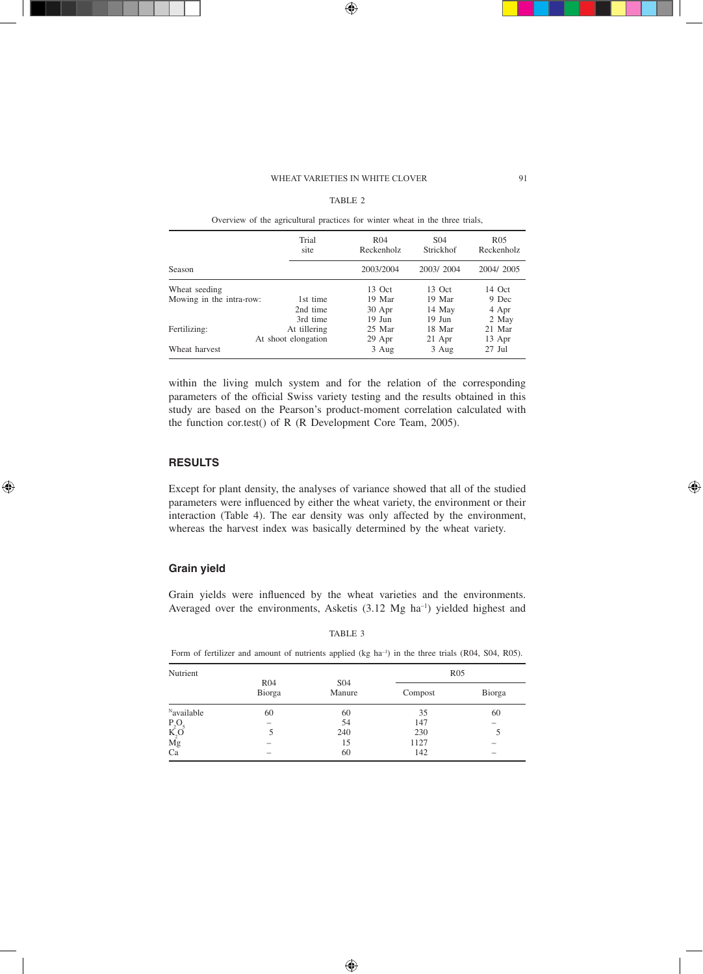$\bigoplus$ 

## TABLE 2

Overview of the agricultural practices for winter wheat in the three trials,

|                          | Trial<br>site       | R <sub>04</sub><br>Reckenholz | S <sub>04</sub><br>Strickhof | R <sub>05</sub><br>Reckenholz |
|--------------------------|---------------------|-------------------------------|------------------------------|-------------------------------|
| Season                   |                     | 2003/2004                     | 2003/2004                    | 2004/2005                     |
| Wheat seeding            |                     | 13 Oct                        | 13 Oct                       | 14 Oct                        |
| Mowing in the intra-row: | 1st time            | 19 Mar                        | 19 Mar                       | 9 Dec                         |
|                          | 2nd time            | $30$ Apr                      | 14 May                       | 4 Apr                         |
|                          | 3rd time            | $19$ Jun                      | $19$ Jun                     | 2 May                         |
| Fertilizing:             | At tillering        | 25 Mar                        | 18 Mar                       | 21 Mar                        |
|                          | At shoot elongation | 29 Apr                        | 21 Apr                       | 13 Apr                        |
| Wheat harvest            |                     | 3 Aug                         | 3 Aug                        | $27$ Jul                      |

within the living mulch system and for the relation of the corresponding parameters of the official Swiss variety testing and the results obtained in this study are based on the Pearson's product-moment correlation calculated with the function cor.test() of R (R Development Core Team, 2005).

## **Results**

⊕

Except for plant density, the analyses of variance showed that all of the studied parameters were influenced by either the wheat variety, the environment or their interaction (Table 4). The ear density was only affected by the environment, whereas the harvest index was basically determined by the wheat variety.

## **Grain yield**

Grain yields were influenced by the wheat varieties and the environments. Averaged over the environments, Asketis (3.12 Mg ha<sup>-1</sup>) yielded highest and

TABLE 3

Form of fertilizer and amount of nutrients applied (kg ha<sup>-1</sup>) in the three trials (R04, S04, R05).

| Nutrient       |                           |                           | R <sub>05</sub> |        |  |  |  |
|----------------|---------------------------|---------------------------|-----------------|--------|--|--|--|
|                | R <sub>04</sub><br>Biorga | S <sub>04</sub><br>Manure | Compost         | Biorga |  |  |  |
| Navailable     | 60                        | 60                        | 35              | 60     |  |  |  |
| $P_2O_5$       |                           | 54                        | 147             | -      |  |  |  |
|                |                           | 240                       | 230             |        |  |  |  |
| $K_2O$<br>$Mg$ |                           | 15                        | 1127            |        |  |  |  |
| Ca             |                           | 60                        | 142             | -      |  |  |  |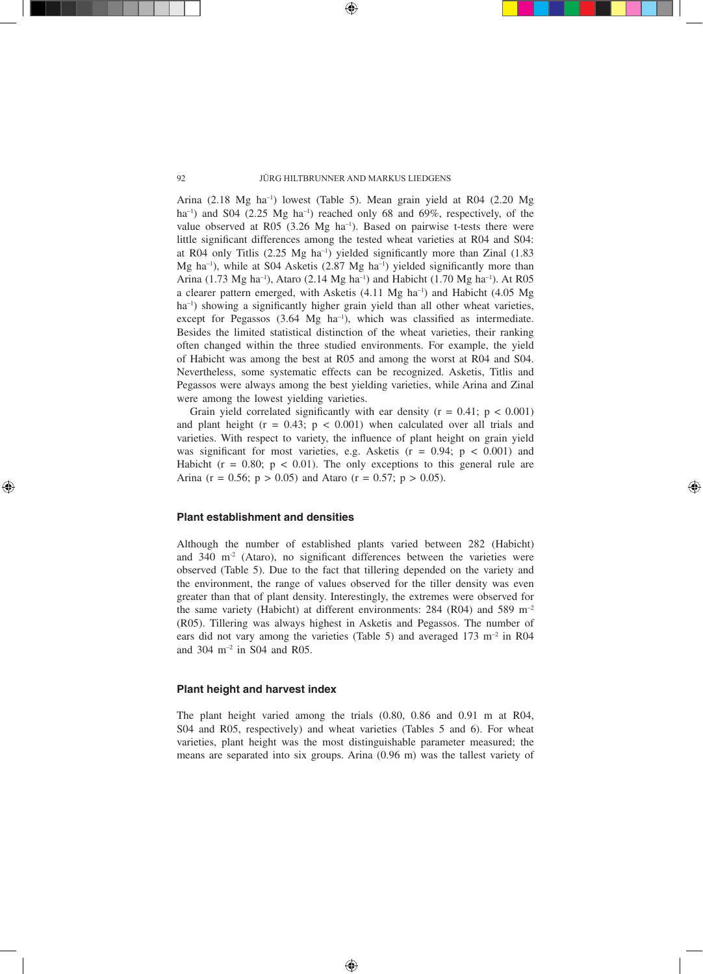⊕

Arina (2.18 Mg ha<sup>-1</sup>) lowest (Table 5). Mean grain yield at R04 (2.20 Mg ha<sup>-1</sup>) and S04 (2.25 Mg ha<sup>-1</sup>) reached only 68 and 69%, respectively, of the value observed at R05 (3.26 Mg ha<sup>-1</sup>). Based on pairwise t-tests there were little significant differences among the tested wheat varieties at R04 and S04: at R04 only Titlis  $(2.25 \text{ Mg} \text{ ha}^{-1})$  yielded significantly more than Zinal  $(1.83 \text{ m})$ Mg ha<sup>-1</sup>), while at S04 Asketis (2.87 Mg ha<sup>-1</sup>) yielded significantly more than Arina (1.73 Mg ha<sup>-1</sup>), Ataro (2.14 Mg ha<sup>-1</sup>) and Habicht (1.70 Mg ha<sup>-1</sup>). At R05 a clearer pattern emerged, with Asketis (4.11 Mg ha–1) and Habicht (4.05 Mg ha<sup>-1</sup>) showing a significantly higher grain yield than all other wheat varieties, except for Pegassos  $(3.64 \text{ Mg } ha^{-1})$ , which was classified as intermediate. Besides the limited statistical distinction of the wheat varieties, their ranking often changed within the three studied environments. For example, the yield of Habicht was among the best at R05 and among the worst at R04 and S04. Nevertheless, some systematic effects can be recognized. Asketis, Titlis and Pegassos were always among the best yielding varieties, while Arina and Zinal were among the lowest yielding varieties.

Grain yield correlated significantly with ear density  $(r = 0.41; p < 0.001)$ and plant height ( $r = 0.43$ ;  $p < 0.001$ ) when calculated over all trials and varieties. With respect to variety, the influence of plant height on grain yield was significant for most varieties, e.g. Asketis ( $r = 0.94$ ;  $p < 0.001$ ) and Habicht ( $r = 0.80$ ;  $p < 0.01$ ). The only exceptions to this general rule are Arina (r = 0.56; p > 0.05) and Ataro (r = 0.57; p > 0.05).

⊕

## **Plant establishment and densities**

Although the number of established plants varied between 282 (Habicht) and 340  $\mathrm{m}^2$  (Ataro), no significant differences between the varieties were observed (Table 5). Due to the fact that tillering depended on the variety and the environment, the range of values observed for the tiller density was even greater than that of plant density. Interestingly, the extremes were observed for the same variety (Habicht) at different environments: 284 (R04) and 589  $m^{-2}$ (R05). Tillering was always highest in Asketis and Pegassos. The number of ears did not vary among the varieties (Table 5) and averaged  $173 \text{ m}^{-2}$  in R04 and 304 m–2 in S04 and R05.

## **Plant height and harvest index**

The plant height varied among the trials (0.80, 0.86 and 0.91 m at R04, S04 and R05, respectively) and wheat varieties (Tables 5 and 6). For wheat varieties, plant height was the most distinguishable parameter measured; the means are separated into six groups. Arina (0.96 m) was the tallest variety of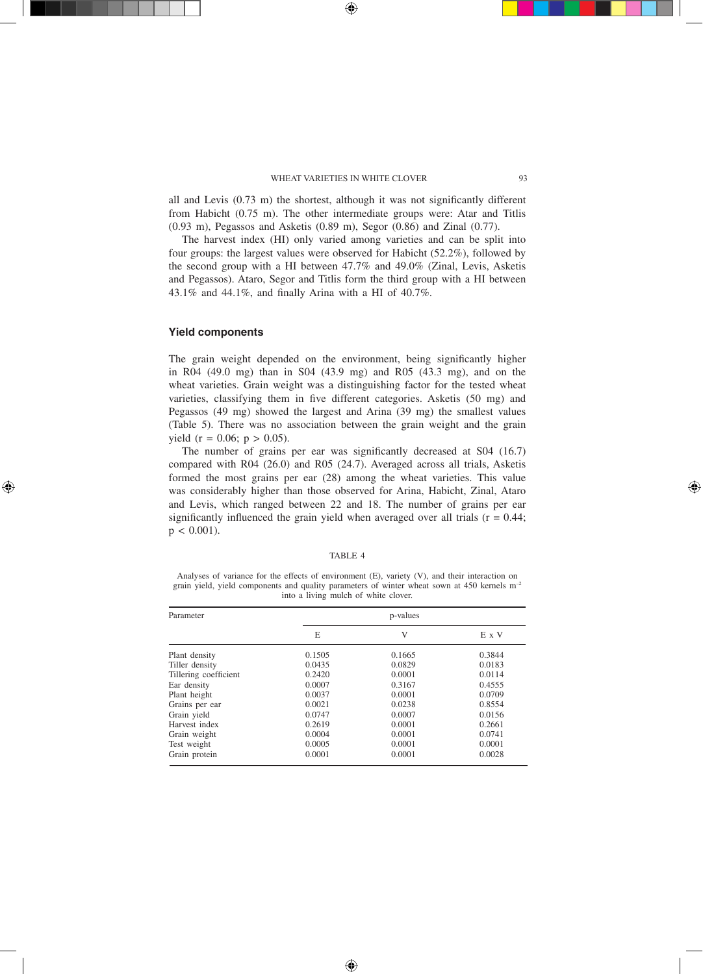⊕

all and Levis (0.73 m) the shortest, although it was not significantly different from Habicht (0.75 m). The other intermediate groups were: Atar and Titlis (0.93 m), Pegassos and Asketis (0.89 m), Segor (0.86) and Zinal (0.77).

The harvest index (HI) only varied among varieties and can be split into four groups: the largest values were observed for Habicht (52.2%), followed by the second group with a HI between 47.7% and 49.0% (Zinal, Levis, Asketis and Pegassos). Ataro, Segor and Titlis form the third group with a HI between 43.1% and 44.1%, and finally Arina with a HI of 40.7%.

## **Yield components**

⊕

The grain weight depended on the environment, being significantly higher in R04 (49.0 mg) than in S04 (43.9 mg) and R05 (43.3 mg), and on the wheat varieties. Grain weight was a distinguishing factor for the tested wheat varieties, classifying them in five different categories. Asketis (50 mg) and Pegassos (49 mg) showed the largest and Arina (39 mg) the smallest values (Table 5). There was no association between the grain weight and the grain yield  $(r = 0.06; p > 0.05)$ .

The number of grains per ear was significantly decreased at S04 (16.7) compared with R04 (26.0) and R05 (24.7). Averaged across all trials, Asketis formed the most grains per ear (28) among the wheat varieties. This value was considerably higher than those observed for Arina, Habicht, Zinal, Ataro and Levis, which ranged between 22 and 18. The number of grains per ear significantly influenced the grain yield when averaged over all trials  $(r = 0.44;$  $p < 0.001$ ).

#### TABLE 4

Analyses of variance for the effects of environment (E), variety (V), and their interaction on grain yield, yield components and quality parameters of winter wheat sown at 450 kernels m–2 into a living mulch of white clover.

| Parameter             |        | p-values |        |
|-----------------------|--------|----------|--------|
|                       | E      | V        | E x V  |
| Plant density         | 0.1505 | 0.1665   | 0.3844 |
| Tiller density        | 0.0435 | 0.0829   | 0.0183 |
| Tillering coefficient | 0.2420 | 0.0001   | 0.0114 |
| Ear density           | 0.0007 | 0.3167   | 0.4555 |
| Plant height          | 0.0037 | 0.0001   | 0.0709 |
| Grains per ear        | 0.0021 | 0.0238   | 0.8554 |
| Grain yield           | 0.0747 | 0.0007   | 0.0156 |
| Harvest index         | 0.2619 | 0.0001   | 0.2661 |
| Grain weight          | 0.0004 | 0.0001   | 0.0741 |
| Test weight           | 0.0005 | 0.0001   | 0.0001 |
| Grain protein         | 0.0001 | 0.0001   | 0.0028 |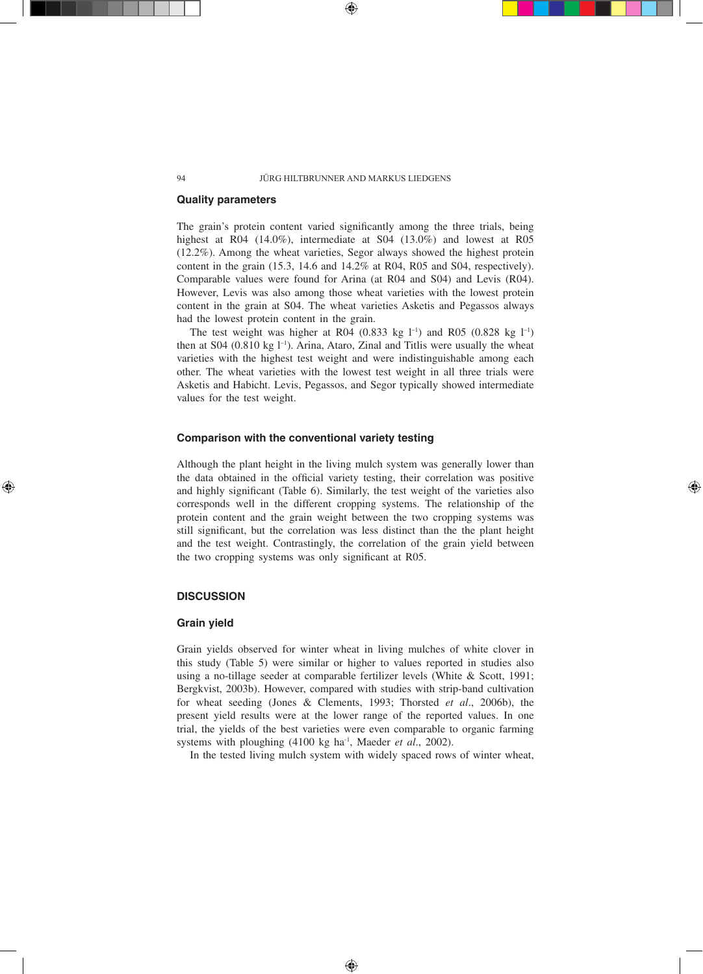⊕

## **Quality parameters**

The grain's protein content varied significantly among the three trials, being highest at R04 (14.0%), intermediate at S04 (13.0%) and lowest at R05 (12.2%). Among the wheat varieties, Segor always showed the highest protein content in the grain (15.3, 14.6 and 14.2% at R04, R05 and S04, respectively). Comparable values were found for Arina (at R04 and S04) and Levis (R04). However, Levis was also among those wheat varieties with the lowest protein content in the grain at S04. The wheat varieties Asketis and Pegassos always had the lowest protein content in the grain.

The test weight was higher at R04 (0.833 kg  $l^{-1}$ ) and R05 (0.828 kg  $l^{-1}$ ) then at  $S04$  (0.810 kg  $l^{-1}$ ). Arina, Ataro, Zinal and Titlis were usually the wheat varieties with the highest test weight and were indistinguishable among each other. The wheat varieties with the lowest test weight in all three trials were Asketis and Habicht. Levis, Pegassos, and Segor typically showed intermediate values for the test weight.

## **Comparison with the conventional variety testing**

Although the plant height in the living mulch system was generally lower than the data obtained in the official variety testing, their correlation was positive and highly significant (Table 6). Similarly, the test weight of the varieties also corresponds well in the different cropping systems. The relationship of the protein content and the grain weight between the two cropping systems was still significant, but the correlation was less distinct than the the plant height and the test weight. Contrastingly, the correlation of the grain yield between the two cropping systems was only significant at R05.

⊕

#### **Discussion**

## **Grain yield**

⊕

Grain yields observed for winter wheat in living mulches of white clover in this study (Table 5) were similar or higher to values reported in studies also using a no-tillage seeder at comparable fertilizer levels (White & Scott, 1991; Bergkvist, 2003b). However, compared with studies with strip-band cultivation for wheat seeding (Jones & Clements, 1993; Thorsted *et al*., 2006b), the present yield results were at the lower range of the reported values. In one trial, the yields of the best varieties were even comparable to organic farming systems with ploughing (4100 kg ha<sup>-1</sup>, Maeder *et al.*, 2002).

In the tested living mulch system with widely spaced rows of winter wheat,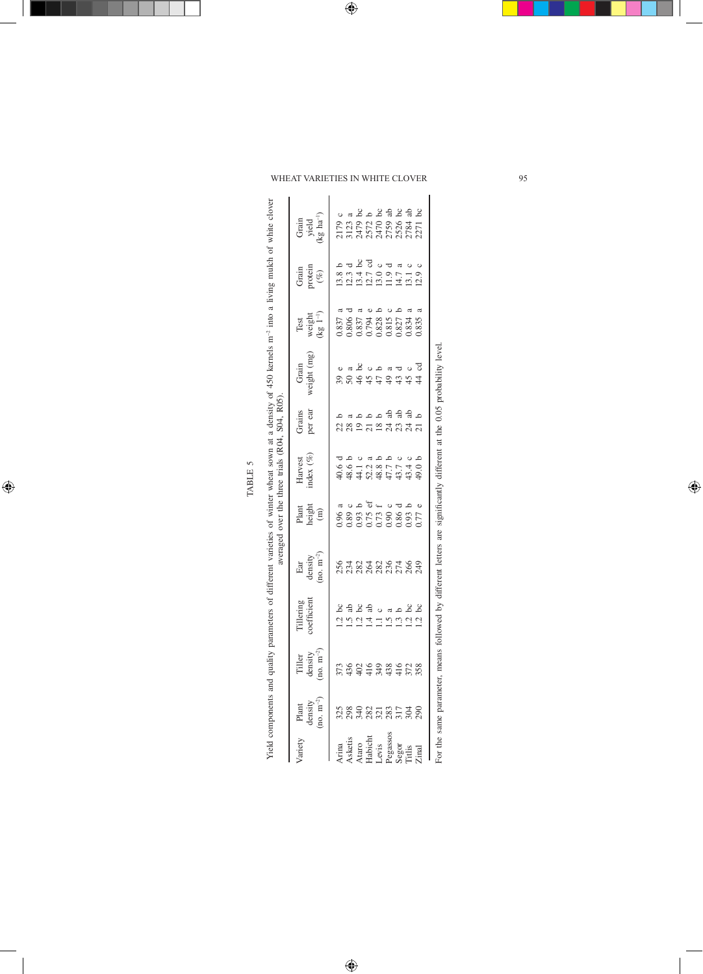$\bigoplus$ 

|                                                                                                | lensity<br>Plant | ensit                 | befficient<br>Tillering | Ear<br>density<br>no. $m^{-2}$ )    | $\begin{array}{c} \rm{Plant}\\ \rm{right}\\ \rm{cm)} \end{array}$                                                         | Harvest ndex $(\%)$ | Grains<br>per ear | veight (mg<br>Grain                                                      | Test<br>weight<br>$(kg 1^{-1})$                                     | Grain<br>protein<br>$(\%)$ | Grain<br>yield<br>(kg $\text{ha}^{-1}$ )                                                                     |
|------------------------------------------------------------------------------------------------|------------------|-----------------------|-------------------------|-------------------------------------|---------------------------------------------------------------------------------------------------------------------------|---------------------|-------------------|--------------------------------------------------------------------------|---------------------------------------------------------------------|----------------------------|--------------------------------------------------------------------------------------------------------------|
|                                                                                                |                  |                       |                         |                                     |                                                                                                                           |                     |                   |                                                                          |                                                                     |                            | $2179$<br>$3123$<br>$3123$<br>$3123$<br>$3123$<br>$3123$<br>$3123$<br>$3123$<br>$3123$<br>$31271$<br>$31271$ |
|                                                                                                |                  |                       |                         |                                     |                                                                                                                           |                     |                   |                                                                          |                                                                     |                            |                                                                                                              |
|                                                                                                |                  |                       | ್ಲ                      |                                     |                                                                                                                           |                     |                   |                                                                          |                                                                     |                            |                                                                                                              |
| Arina<br>Asketis<br>Ataro<br>Ataro<br>Levis<br>Pegassos<br>Pegassos<br>Segor<br>Segor<br>Segor | s<br>8888585588  | E S S S S S S S S S S |                         | cadadores<br>Cadadores<br>Cadadores | 0.98<br>0.88 77 78 86 0.00<br>0.000 0.000 0.000 0.000 0.000 0.000 0.000 0.000 0.000 0.000 0.000 0.000 0.000 0.000 0.000 0 |                     | .<br>ฌฅฅฅฅฅสสส    | ० <sup>व</sup> र्घ ० ० व ० ० ०<br>७ व ० ० ० व ० ० ०<br>० व ८ ० ० व ० ० ० | - 837<br>0.806 7<br>0.0.828 827<br>0.0.0.0.0.0.0.0<br>0.0.0.0.0.0.0 |                            |                                                                                                              |
|                                                                                                |                  |                       | $\equiv$                |                                     |                                                                                                                           |                     |                   |                                                                          |                                                                     |                            |                                                                                                              |
|                                                                                                |                  |                       |                         |                                     |                                                                                                                           |                     |                   |                                                                          |                                                                     |                            |                                                                                                              |
|                                                                                                |                  |                       |                         |                                     |                                                                                                                           |                     | 222               |                                                                          |                                                                     |                            |                                                                                                              |
|                                                                                                |                  |                       | $\frac{1}{2}$           |                                     |                                                                                                                           |                     |                   |                                                                          |                                                                     |                            |                                                                                                              |
|                                                                                                |                  |                       | 8 ಜ                     |                                     |                                                                                                                           |                     |                   |                                                                          |                                                                     |                            |                                                                                                              |

 $\bigoplus$ 

WHEAT VARIETIES IN WHITE CLOVER 95

 $\bigoplus$ 

 $\bigoplus$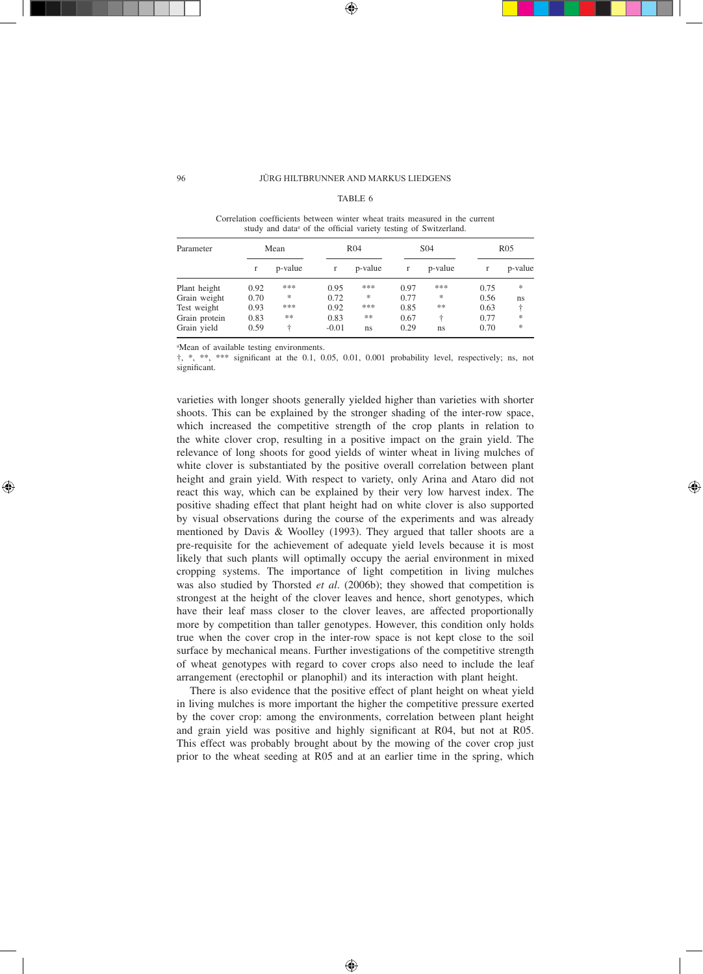⊕

### TABLE 6

#### Correlation coefficients between winter wheat traits measured in the current study and data<sup>ª</sup> of the official variety testing of Switzerland.

| Parameter     |      | Mean          |         | R <sub>04</sub> |      | S <sub>04</sub> |      | R <sub>05</sub> |  |
|---------------|------|---------------|---------|-----------------|------|-----------------|------|-----------------|--|
|               | r    | p-value       | r       | p-value         | r    | p-value         |      | p-value         |  |
| Plant height  | 0.92 | ***           | 0.95    | ***             | 0.97 | ***             | 0.75 | *               |  |
| Grain weight  | 0.70 | $\frac{1}{2}$ | 0.72    | *               | 0.77 | $*$             | 0.56 | ns              |  |
| Test weight   | 0.93 | ***           | 0.92    | ***             | 0.85 | **              | 0.63 | ÷               |  |
| Grain protein | 0.83 | **            | 0.83    | **              | 0.67 | ÷               | 0.77 | $\ast$          |  |
| Grain yield   | 0.59 | ÷             | $-0.01$ | ns              | 0.29 | ns              | 0.70 | *               |  |

a Mean of available testing environments.

†, \*, \*\*, \*\*\* significant at the 0.1, 0.05, 0.01, 0.001 probability level, respectively; ns, not significant.

varieties with longer shoots generally yielded higher than varieties with shorter shoots. This can be explained by the stronger shading of the inter-row space, which increased the competitive strength of the crop plants in relation to the white clover crop, resulting in a positive impact on the grain yield. The relevance of long shoots for good yields of winter wheat in living mulches of white clover is substantiated by the positive overall correlation between plant height and grain yield. With respect to variety, only Arina and Ataro did not react this way, which can be explained by their very low harvest index. The positive shading effect that plant height had on white clover is also supported by visual observations during the course of the experiments and was already mentioned by Davis & Woolley (1993). They argued that taller shoots are a pre-requisite for the achievement of adequate yield levels because it is most likely that such plants will optimally occupy the aerial environment in mixed cropping systems. The importance of light competition in living mulches was also studied by Thorsted *et al*. (2006b); they showed that competition is strongest at the height of the clover leaves and hence, short genotypes, which have their leaf mass closer to the clover leaves, are affected proportionally more by competition than taller genotypes. However, this condition only holds true when the cover crop in the inter-row space is not kept close to the soil surface by mechanical means. Further investigations of the competitive strength of wheat genotypes with regard to cover crops also need to include the leaf arrangement (erectophil or planophil) and its interaction with plant height.

There is also evidence that the positive effect of plant height on wheat yield in living mulches is more important the higher the competitive pressure exerted by the cover crop: among the environments, correlation between plant height and grain yield was positive and highly significant at R04, but not at R05. This effect was probably brought about by the mowing of the cover crop just prior to the wheat seeding at R05 and at an earlier time in the spring, which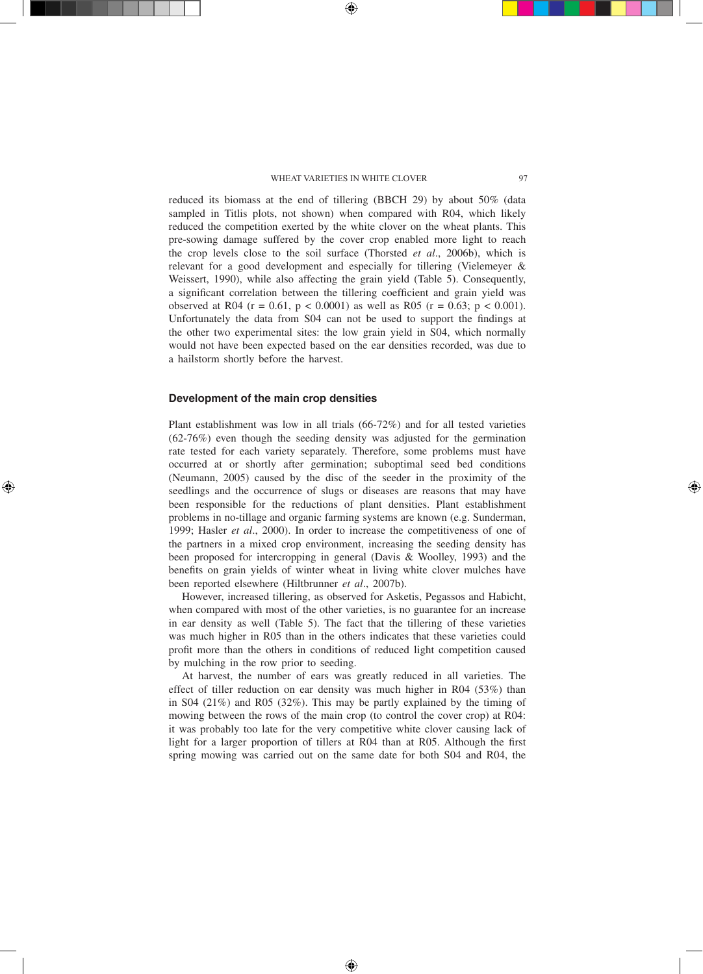⊕

reduced its biomass at the end of tillering (BBCH 29) by about 50% (data sampled in Titlis plots, not shown) when compared with R04, which likely reduced the competition exerted by the white clover on the wheat plants. This pre-sowing damage suffered by the cover crop enabled more light to reach the crop levels close to the soil surface (Thorsted *et al*., 2006b), which is relevant for a good development and especially for tillering (Vielemeyer & Weissert, 1990), while also affecting the grain yield (Table 5). Consequently, a significant correlation between the tillering coefficient and grain yield was observed at R04 ( $r = 0.61$ ,  $p < 0.0001$ ) as well as R05 ( $r = 0.63$ ;  $p < 0.001$ ). Unfortunately the data from S04 can not be used to support the findings at the other two experimental sites: the low grain yield in S04, which normally would not have been expected based on the ear densities recorded, was due to a hailstorm shortly before the harvest.

#### **Development of the main crop densities**

⊕

Plant establishment was low in all trials (66-72%) and for all tested varieties (62-76%) even though the seeding density was adjusted for the germination rate tested for each variety separately. Therefore, some problems must have occurred at or shortly after germination; suboptimal seed bed conditions (Neumann, 2005) caused by the disc of the seeder in the proximity of the seedlings and the occurrence of slugs or diseases are reasons that may have been responsible for the reductions of plant densities. Plant establishment problems in no-tillage and organic farming systems are known (e.g. Sunderman, 1999; Hasler *et al*., 2000). In order to increase the competitiveness of one of the partners in a mixed crop environment, increasing the seeding density has been proposed for intercropping in general (Davis & Woolley, 1993) and the benefits on grain yields of winter wheat in living white clover mulches have been reported elsewhere (Hiltbrunner *et al*., 2007b).

However, increased tillering, as observed for Asketis, Pegassos and Habicht, when compared with most of the other varieties, is no guarantee for an increase in ear density as well (Table 5). The fact that the tillering of these varieties was much higher in R05 than in the others indicates that these varieties could profit more than the others in conditions of reduced light competition caused by mulching in the row prior to seeding.

At harvest, the number of ears was greatly reduced in all varieties. The effect of tiller reduction on ear density was much higher in R04 (53%) than in S04 (21%) and R05 (32%). This may be partly explained by the timing of mowing between the rows of the main crop (to control the cover crop) at R04: it was probably too late for the very competitive white clover causing lack of light for a larger proportion of tillers at R04 than at R05. Although the first spring mowing was carried out on the same date for both S04 and R04, the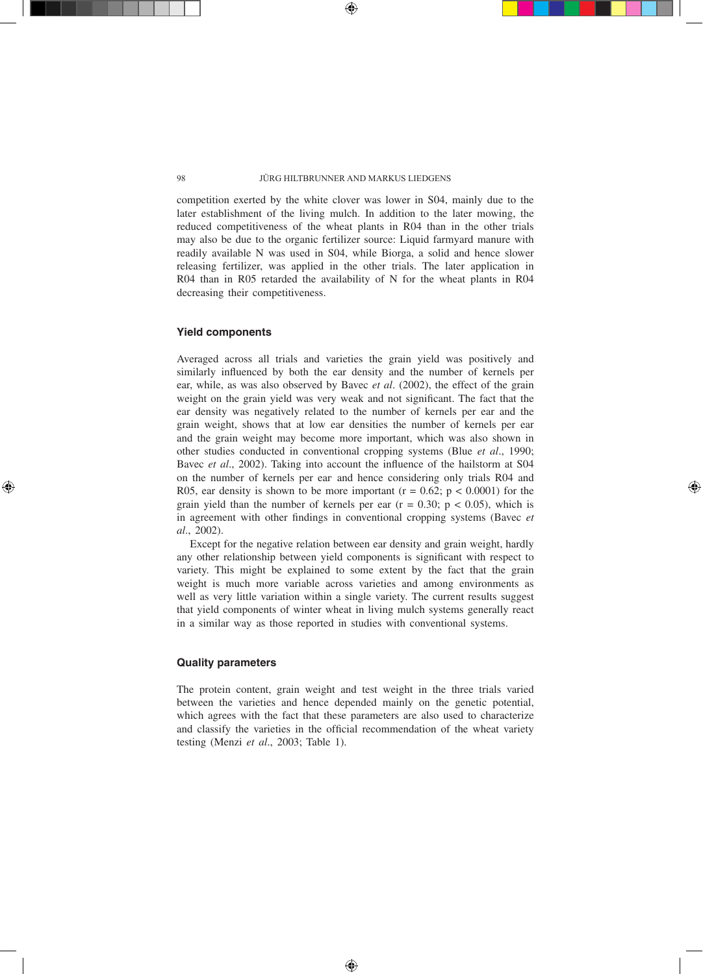⊕

competition exerted by the white clover was lower in S04, mainly due to the later establishment of the living mulch. In addition to the later mowing, the reduced competitiveness of the wheat plants in R04 than in the other trials may also be due to the organic fertilizer source: Liquid farmyard manure with readily available N was used in S04, while Biorga, a solid and hence slower releasing fertilizer, was applied in the other trials. The later application in R04 than in R05 retarded the availability of N for the wheat plants in R04 decreasing their competitiveness.

## **Yield components**

Averaged across all trials and varieties the grain yield was positively and similarly influenced by both the ear density and the number of kernels per ear, while, as was also observed by Bavec *et al*. (2002), the effect of the grain weight on the grain yield was very weak and not significant. The fact that the ear density was negatively related to the number of kernels per ear and the grain weight, shows that at low ear densities the number of kernels per ear and the grain weight may become more important, which was also shown in other studies conducted in conventional cropping systems (Blue *et al*., 1990; Bavec *et al*., 2002). Taking into account the influence of the hailstorm at S04 on the number of kernels per ear and hence considering only trials R04 and R05, ear density is shown to be more important  $(r = 0.62; p < 0.0001)$  for the grain yield than the number of kernels per ear  $(r = 0.30; p < 0.05)$ , which is in agreement with other findings in conventional cropping systems (Bavec *et al*., 2002).

Except for the negative relation between ear density and grain weight, hardly any other relationship between yield components is significant with respect to variety. This might be explained to some extent by the fact that the grain weight is much more variable across varieties and among environments as well as very little variation within a single variety. The current results suggest that yield components of winter wheat in living mulch systems generally react in a similar way as those reported in studies with conventional systems.

## **Quality parameters**

The protein content, grain weight and test weight in the three trials varied between the varieties and hence depended mainly on the genetic potential, which agrees with the fact that these parameters are also used to characterize and classify the varieties in the official recommendation of the wheat variety testing (Menzi *et al*., 2003; Table 1).

⊕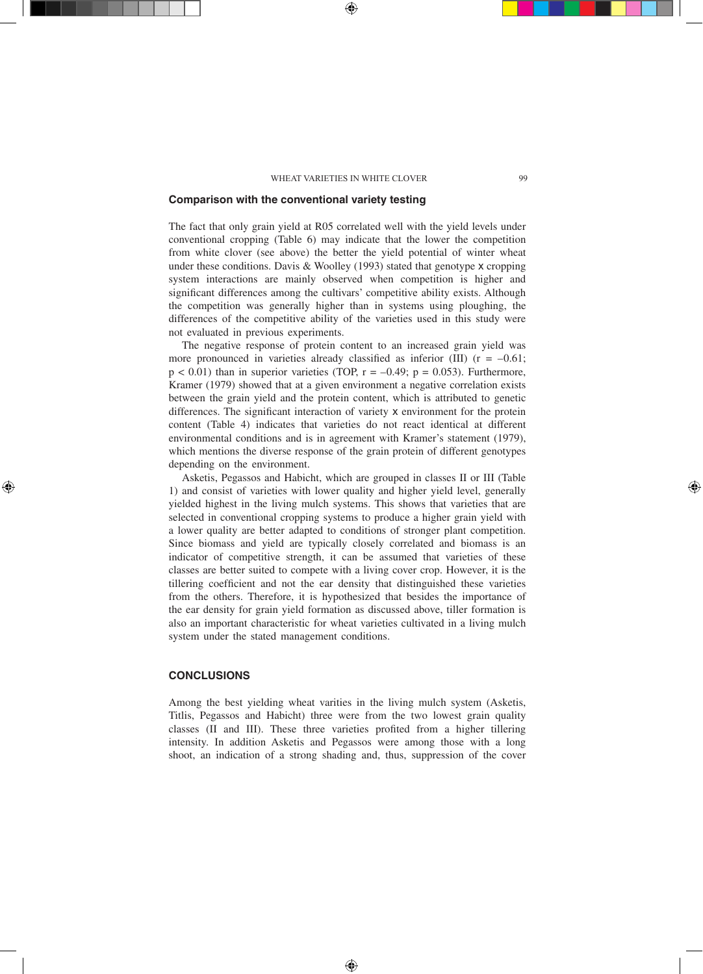⊕

## **Comparison with the conventional variety testing**

The fact that only grain yield at R05 correlated well with the yield levels under conventional cropping (Table 6) may indicate that the lower the competition from white clover (see above) the better the yield potential of winter wheat under these conditions. Davis & Woolley (1993) stated that genotype x cropping system interactions are mainly observed when competition is higher and significant differences among the cultivars' competitive ability exists. Although the competition was generally higher than in systems using ploughing, the differences of the competitive ability of the varieties used in this study were not evaluated in previous experiments.

The negative response of protein content to an increased grain yield was more pronounced in varieties already classified as inferior (III)  $(r = -0.61;$  $p < 0.01$ ) than in superior varieties (TOP,  $r = -0.49$ ;  $p = 0.053$ ). Furthermore, Kramer (1979) showed that at a given environment a negative correlation exists between the grain yield and the protein content, which is attributed to genetic differences. The significant interaction of variety x environment for the protein content (Table 4) indicates that varieties do not react identical at different environmental conditions and is in agreement with Kramer's statement (1979), which mentions the diverse response of the grain protein of different genotypes depending on the environment.

Asketis, Pegassos and Habicht, which are grouped in classes II or III (Table 1) and consist of varieties with lower quality and higher yield level, generally yielded highest in the living mulch systems. This shows that varieties that are selected in conventional cropping systems to produce a higher grain yield with a lower quality are better adapted to conditions of stronger plant competition. Since biomass and yield are typically closely correlated and biomass is an indicator of competitive strength, it can be assumed that varieties of these classes are better suited to compete with a living cover crop. However, it is the tillering coefficient and not the ear density that distinguished these varieties from the others. Therefore, it is hypothesized that besides the importance of the ear density for grain yield formation as discussed above, tiller formation is also an important characteristic for wheat varieties cultivated in a living mulch system under the stated management conditions.

## **Conclusions**

⊕

Among the best yielding wheat varities in the living mulch system (Asketis, Titlis, Pegassos and Habicht) three were from the two lowest grain quality classes (II and III). These three varieties profited from a higher tillering intensity. In addition Asketis and Pegassos were among those with a long shoot, an indication of a strong shading and, thus, suppression of the cover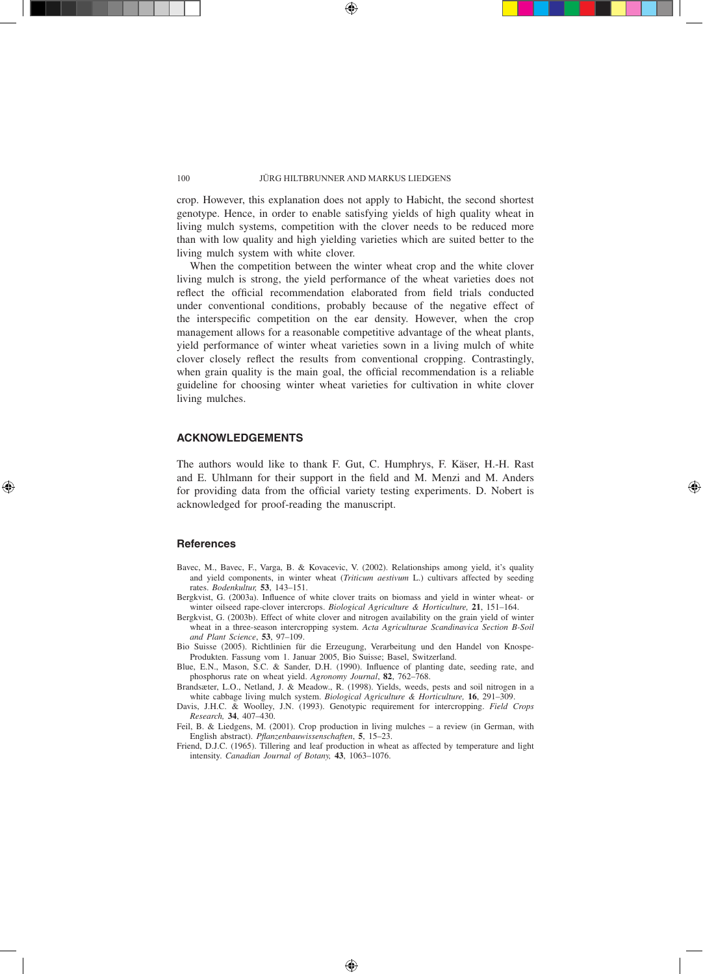⊕

crop. However, this explanation does not apply to Habicht, the second shortest genotype. Hence, in order to enable satisfying yields of high quality wheat in living mulch systems, competition with the clover needs to be reduced more than with low quality and high yielding varieties which are suited better to the living mulch system with white clover.

When the competition between the winter wheat crop and the white clover living mulch is strong, the yield performance of the wheat varieties does not reflect the official recommendation elaborated from field trials conducted under conventional conditions, probably because of the negative effect of the interspecific competition on the ear density. However, when the crop management allows for a reasonable competitive advantage of the wheat plants, yield performance of winter wheat varieties sown in a living mulch of white clover closely reflect the results from conventional cropping. Contrastingly, when grain quality is the main goal, the official recommendation is a reliable guideline for choosing winter wheat varieties for cultivation in white clover living mulches.

## **Acknowledgements**

The authors would like to thank F. Gut, C. Humphrys, F. Käser, H.-H. Rast and E. Uhlmann for their support in the field and M. Menzi and M. Anders for providing data from the official variety testing experiments. D. Nobert is acknowledged for proof-reading the manuscript.

#### **References**

⊕

- Bavec, M., Bavec, F., Varga, B. & Kovacevic, V. (2002). Relationships among yield, it's quality and yield components, in winter wheat (*Triticum aestivum* L.) cultivars affected by seeding rates. *Bodenkultur,* **53**, 143–151.
- Bergkvist, G. (2003a). Influence of white clover traits on biomass and yield in winter wheat- or winter oilseed rape-clover intercrops. *Biological Agriculture & Horticulture,* **21**, 151–164.

Bergkvist, G. (2003b). Effect of white clover and nitrogen availability on the grain yield of winter wheat in a three-season intercropping system. *Acta Agriculturae Scandinavica Section B-Soil and Plant Science*, **53**, 97–109.

Bio Suisse (2005). Richtlinien für die Erzeugung, Verarbeitung und den Handel von Knospe-Produkten. Fassung vom 1. Januar 2005, Bio Suisse; Basel, Switzerland.

Blue, E.N., Mason, S.C. & Sander, D.H. (1990). Influence of planting date, seeding rate, and phosphorus rate on wheat yield. *Agronomy Journal*, **82**, 762–768.

Brandsæter, L.O., Netland, J. & Meadow., R. (1998). Yields, weeds, pests and soil nitrogen in a white cabbage living mulch system. *Biological Agriculture & Horticulture,* **16**, 291–309.

Davis, J.H.C. & Woolley, J.N. (1993). Genotypic requirement for intercropping. *Field Crops Research,* **34**, 407–430.

Feil, B. & Liedgens, M. (2001). Crop production in living mulches – a review (in German, with English abstract). *Pflanzenbauwissenschaften*, **5**, 15–23.

Friend, D.J.C. (1965). Tillering and leaf production in wheat as affected by temperature and light intensity. *Canadian Journal of Botany,* **43**, 1063–1076.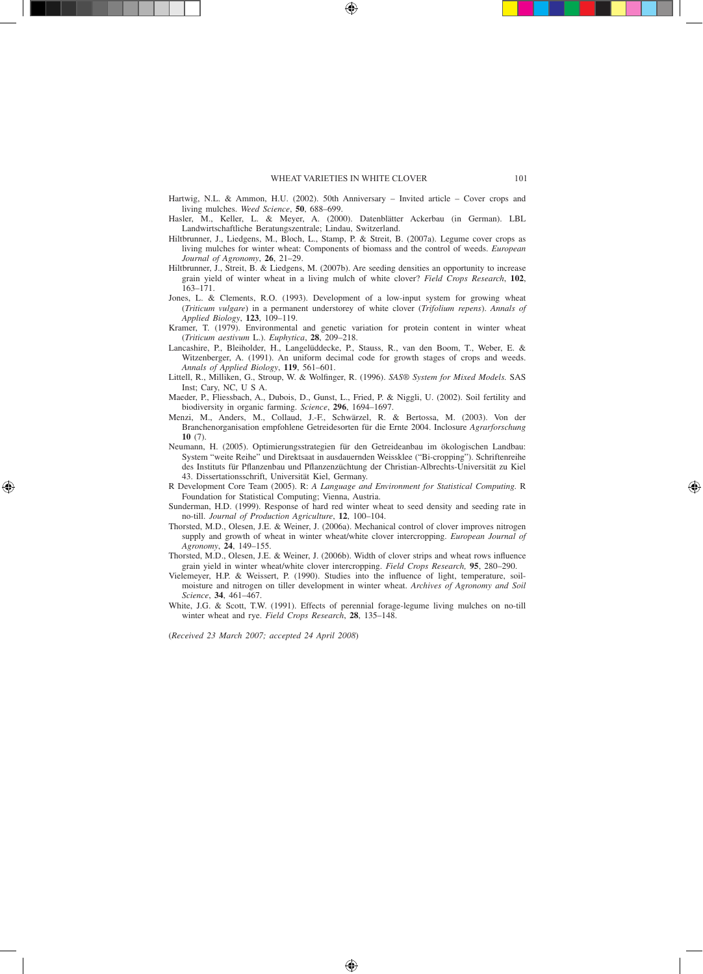⊕

- Hartwig, N.L. & Ammon, H.U. (2002). 50th Anniversary Invited article Cover crops and living mulches. *Weed Science*, **50**, 688–699.
- Hasler, M., Keller, L. & Meyer, A. (2000). Datenblätter Ackerbau (in German). LBL Landwirtschaftliche Beratungszentrale; Lindau, Switzerland.
- Hiltbrunner, J., Liedgens, M., Bloch, L., Stamp, P. & Streit, B. (2007a). Legume cover crops as living mulches for winter wheat: Components of biomass and the control of weeds. *European Journal of Agronomy*, **26**, 21–29.
- Hiltbrunner, J., Streit, B. & Liedgens, M. (2007b). Are seeding densities an opportunity to increase grain yield of winter wheat in a living mulch of white clover? *Field Crops Research*, **102**, 163–171.
- Jones, L. & Clements, R.O. (1993). Development of a low-input system for growing wheat (*Triticum vulgare*) in a permanent understorey of white clover (*Trifolium repens*). *Annals of Applied Biology*, **123**, 109–119.
- Kramer, T. (1979). Environmental and genetic variation for protein content in winter wheat (*Triticum aestivum* L.). *Euphytica*, **28**, 209–218.
- Lancashire, P., Bleiholder, H., Langelüddecke, P., Stauss, R., van den Boom, T., Weber, E. & Witzenberger, A. (1991). An uniform decimal code for growth stages of crops and weeds. *Annals of Applied Biology*, **119**, 561–601.
- Littell, R., Milliken, G., Stroup, W. & Wolfinger, R. (1996). *SAS® System for Mixed Models.* SAS Inst; Cary, NC, U S A.
- Maeder, P., Fliessbach, A., Dubois, D., Gunst, L., Fried, P. & Niggli, U. (2002). Soil fertility and biodiversity in organic farming. *Science*, **296**, 1694–1697.
- Menzi, M., Anders, M., Collaud, J.-F., Schwärzel, R. & Bertossa, M. (2003). Von der Branchenorganisation empfohlene Getreidesorten für die Ernte 2004. Inclosure *Agrarforschung* **10** (7).
- Neumann, H. (2005). Optimierungsstrategien für den Getreideanbau im ökologischen Landbau: System "weite Reihe" und Direktsaat in ausdauernden Weissklee ("Bi-cropping"). Schriftenreihe des Instituts für Pflanzenbau und Pflanzenzüchtung der Christian-Albrechts-Universität zu Kiel 43. Dissertationsschrift, Universität Kiel, Germany.
- R Development Core Team (2005). R: *A Language and Environment for Statistical Computing.* R Foundation for Statistical Computing; Vienna, Austria.
- Sunderman, H.D. (1999). Response of hard red winter wheat to seed density and seeding rate in no-till. *Journal of Production Agriculture*, **12**, 100–104.
- Thorsted, M.D., Olesen, J.E. & Weiner, J. (2006a). Mechanical control of clover improves nitrogen supply and growth of wheat in winter wheat/white clover intercropping. *European Journal of Agronomy*, **24**, 149–155.
- Thorsted, M.D., Olesen, J.E. & Weiner, J. (2006b). Width of clover strips and wheat rows influence grain yield in winter wheat/white clover intercropping. *Field Crops Research,* **95**, 280–290.
- Vielemeyer, H.P. & Weissert, P. (1990). Studies into the influence of light, temperature, soilmoisture and nitrogen on tiller development in winter wheat. *Archives of Agronomy and Soil Science*, **34**, 461–467.
- White, J.G. & Scott, T.W. (1991). Effects of perennial forage-legume living mulches on no-till winter wheat and rye. *Field Crops Research*, **28**, 135–148.

(*Received 23 March 2007; accepted 24 April 2008*)

⊕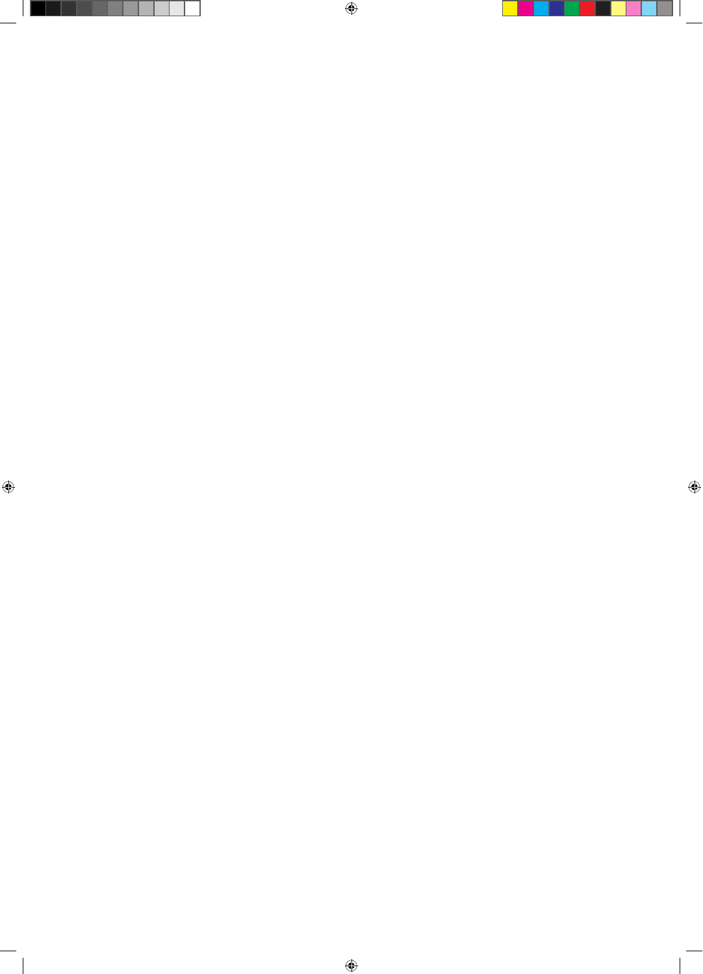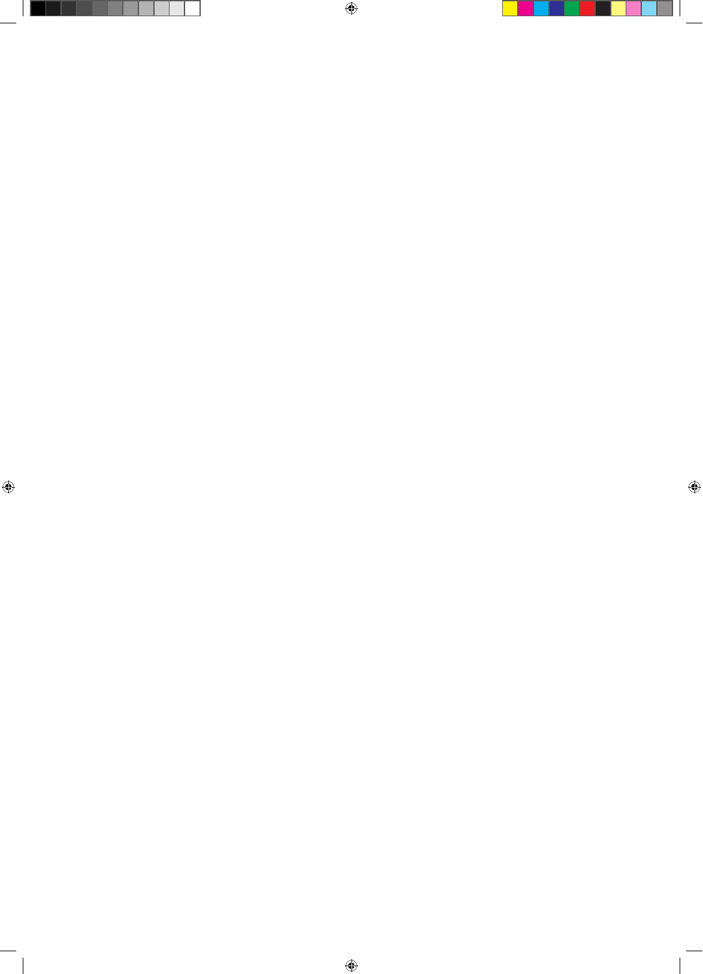